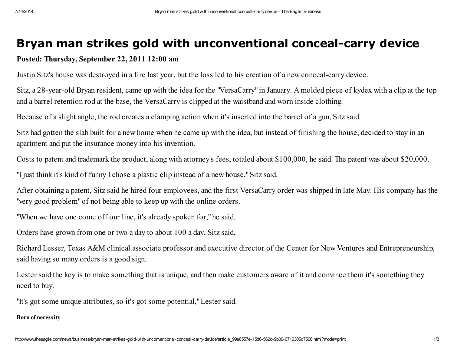# Bryan man strikes gold with unconventional conceal-carry device

## Posted: Thursday, September 22, 2011 12:00 am

Justin Sitz's house was destroyed in a fire last year, but the loss led to his creation of a new conceal-carry device.

Sitz, a 28-year-old Bryan resident, came up with the idea for the "VersaCarry" in January. A molded piece of kydex with a clip at the top and a barrel retention rod at the base, the VersaCarry is clipped at the waistband and worn inside clothing.

Because of a slight angle, the rod creates a clamping action when it's inserted into the barrel of a gun, Sitz said.

Sitz had gotten the slab built for a new home when he came up with the idea, but instead of finishing the house, decided to stay in an apartment and put the insurance money into his invention.

Costs to patent and trademark the product, along with attorney's fees, totaled about \$100,000, he said. The patent was about \$20,000.

"I just think it's kind of funny I chose a plastic clip instead of a new house,"Sitz said.

After obtaining a patent, Sitz said he hired four employees, and the first VersaCarry order was shipped in late May. His company has the "very good problem"of not being able to keep up with the online orders.

"When we have one come off our line, it's already spoken for,"he said.

Orders have grown from one or two a day to about 100 a day, Sitz said.

Richard Lesser, Texas A&M clinical associate professor and executive director of the Center for New Ventures and Entrepreneurship, said having so many orders is a good sign.

Lester said the key is to make something that is unique, and then make customers aware of it and convince them it's something they need to buy.

"It's got some unique attributes, so it's got some potential,"Lester said.

### Born of necessity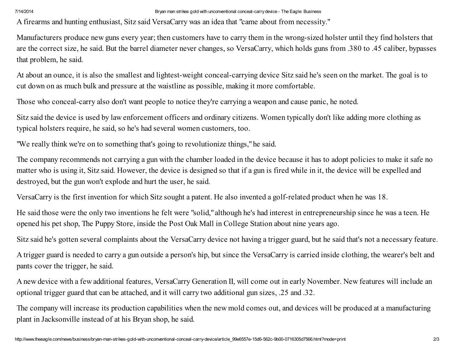A firearms and hunting enthusiast, Sitz said VersaCarry was an idea that "came about from necessity."

Manufacturers produce new guns every year; then customers have to carry them in the wrong-sized holster until they find holsters that are the correct size, he said. But the barrel diameter never changes, so VersaCarry, which holds guns from .380 to .45 caliber, bypasses that problem, he said.

At about an ounce, it is also the smallest and lightest-weight conceal-carrying device Sitz said he's seen on the market. The goal is to cut down on as much bulk and pressure at the waistline as possible, making it more comfortable.

Those who conceal-carry also don't want people to notice they're carrying a weapon and cause panic, he noted.

Sitz said the device is used by law enforcement officers and ordinary citizens. Women typically don't like adding more clothing as typical holsters require, he said, so he's had several women customers, too.

"We really think we're on to something that's going to revolutionize things,"he said.

The company recommends not carrying a gun with the chamber loaded in the device because it has to adopt policies to make it safe no matter who is using it, Sitz said. However, the device is designed so that if a gun is fired while in it, the device will be expelled and destroyed, but the gun won't explode and hurt the user, he said.

VersaCarry is the first invention for which Sitz sought a patent. He also invented a golf-related product when he was 18.

He said those were the only two inventions he felt were "solid," although he's had interest in entrepreneurship since he was a teen. He opened his pet shop, The Puppy Store, inside the Post Oak Mall in College Station about nine years ago.

Sitz said he's gotten several complaints about the VersaCarry device not having a trigger guard, but he said that's not a necessary feature.

A trigger guard is needed to carry a gun outside a person's hip, but since the VersaCarry is carried inside clothing, the wearer's belt and pants cover the trigger, he said.

A new device with a few additional features, VersaCarry Generation II, will come out in early November. New features will include an optional trigger guard that can be attached, and it will carry two additional gun sizes, .25 and .32.

The company will increase its production capabilities when the new mold comes out, and devices will be produced at a manufacturing plant in Jacksonville instead of at his Bryan shop, he said.